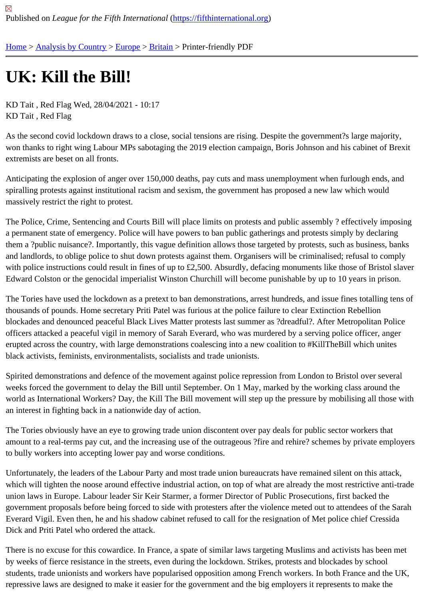## [UK](https://fifthinternational.org/): [Kill the B](https://fifthinternational.org/category/1)il[l!](https://fifthinternational.org/category/1/128)

KD Tait , Red Flag Wed, 28/04/2021 - 10:17 KD Tait , Red Flag

As the second covid lockdown draws to a close, social tensions are rising. Despite the government?s large majorit won thanks to right wing Labour MPs sabotaging the 2019 election campaign, Boris Johnson and his cabinet of Br extremists are beset on all fronts.

Anticipating the explosion of anger over 150,000 deaths, pay cuts and mass unemployment when furlough ends, and spiralling protests against institutional racism and sexism, the government has proposed a new law which would massively restrict the right to protest.

The Police, Crime, Sentencing and Courts Bill will place limits on protests and public assembly ? effectively impos a permanent state of emergency. Police will have powers to ban public gatherings and protests simply by declaring them a ?public nuisance?. Importantly, this vague definition allows those targeted by protests, such as business, b and landlords, to oblige police to shut down protests against them. Organisers will be criminalised; refusal to comp with police instructions could result in fines of up to £2,500. Absurdly, defacing monuments like those of Bristol sla Edward Colston or the genocidal imperialist Winston Churchill will become punishable by up to 10 years in prison.

The Tories have used the lockdown as a pretext to ban demonstrations, arrest hundreds, and issue fines totalling thousands of pounds. Home secretary Priti Patel was furious at the police failure to clear Extinction Rebellion blockades and denounced peaceful Black Lives Matter protests last summer as ?dreadful?. After Metropolitan Pol officers attacked a peaceful vigil in memory of Sarah Everard, who was murdered by a serving police officer, anger erupted across the country, with large demonstrations coalescing into a new coalition to #KillTheBill which unites black activists, feminists, environmentalists, socialists and trade unionists.

Spirited demonstrations and defence of the movement against police repression from London to Bristol over sever weeks forced the government to delay the Bill until September. On 1 May, marked by the working class around the world as International Workers? Day, the Kill The Bill movement will step up the pressure by mobilising all those w an interest in fighting back in a nationwide day of action.

The Tories obviously have an eye to growing trade union discontent over pay deals for public sector workers that amount to a real-terms pay cut, and the increasing use of the outrageous ?fire and rehire? schemes by private em to bully workers into accepting lower pay and worse conditions.

Unfortunately, the leaders of the Labour Party and most trade union bureaucrats have remained silent on this atta which will tighten the noose around effective industrial action, on top of what are already the most restrictive anti-tr union laws in Europe. Labour leader Sir Keir Starmer, a former Director of Public Prosecutions, first backed the government proposals before being forced to side with protesters after the violence meted out to attendees of the Everard Vigil. Even then, he and his shadow cabinet refused to call for the resignation of Met police chief Cressida Dick and Priti Patel who ordered the attack.

There is no excuse for this cowardice. In France, a spate of similar laws targeting Muslims and activists has been met by weeks of fierce resistance in the streets, even during the lockdown. Strikes, protests and blockades by school students, trade unionists and workers have popularised opposition among French workers. In both France and the repressive laws are designed to make it easier for the government and the big employers it represents to make the